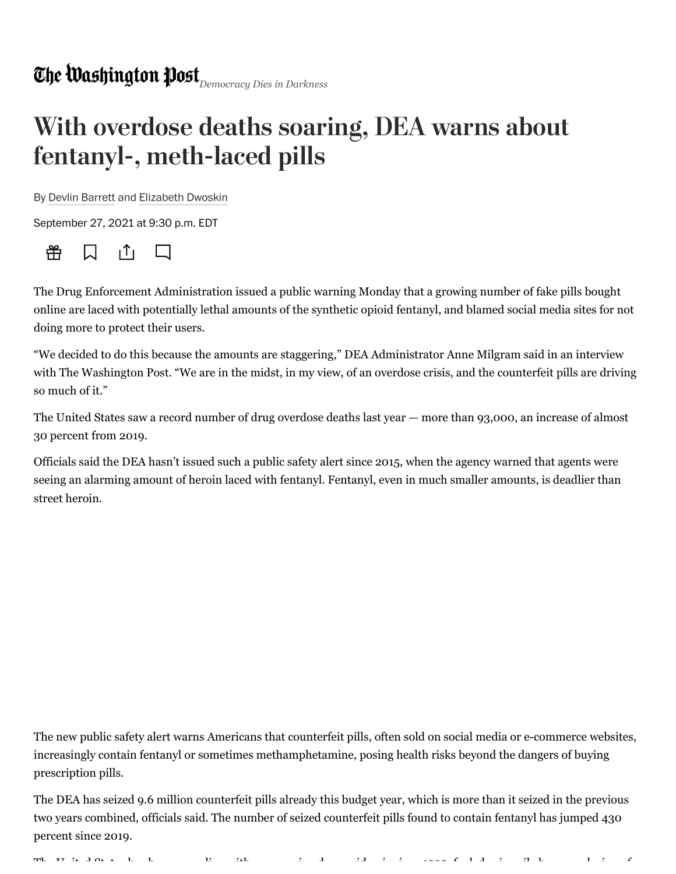## With overdose deaths soaring, DEA warns about fentanyl-, meth-laced pills

By [Devlin Barrett](https://www.washingtonpost.com/people/devlin-barrett/) and [Elizabeth Dwoskin](https://www.washingtonpost.com/people/elizabeth-dwoskin/)

September 27, 2021 at 9:30 p.m. EDT



The Drug Enforcement Administration issued a public warning Monday that a growing number of fake pills bought online are laced with potentially lethal amounts of the synthetic opioid fentanyl, and blamed social media sites for not doing more to protect their users.

"We decided to do this because the amounts are staggering," DEA Administrator Anne Milgram said in an interview with The Washington Post. "We are in the midst, in my view, of an overdose crisis, and the counterfeit pills are driving so much of it."

The United States saw a record number of drug overdose deaths last year — more than 93,000, an increase of almost 30 percent from 2019.

Officials said the DEA hasn't issued such a public safety alert since 2015, when the agency warned that agents were seeing an alarming amount of heroin laced with fentanyl. Fentanyl, even in much smaller amounts, is deadlier than street heroin.

The new public safety alert warns Americans that counterfeit pills, often sold on social media or e-commerce websites, increasingly contain fentanyl or sometimes methamphetamine, posing health risks beyond the dangers of buying prescription pills.

The DEA has seized 9.6 million counterfeit pills already this budget year, which is more than it seized in the previous two years combined, officials said. The number of seized counterfeit pills found to contain fentanyl has jumped 430 percent since 2019.

The Transition of the line is the individual of the state in  $\mathcal{L}$  is the individual of  $\mathcal{L}$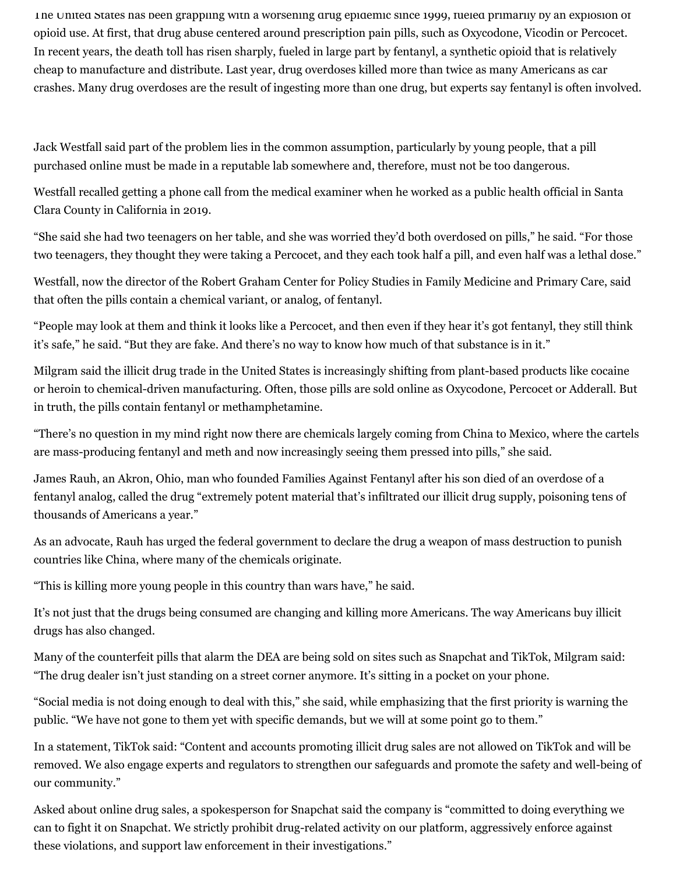The United States has been grappling with a worsening drug epidemic since 1999, fueled primarily by an explosion of opioid use. At first, that drug abuse centered around prescription pain pills, such as Oxycodone, Vicodin or Percocet. In recent years, the death toll has risen sharply, fueled in large part by fentanyl, a synthetic opioid that is relatively cheap to manufacture and distribute. Last year, drug overdoses killed more than twice as many Americans as car crashes. Many drug overdoses are the result of ingesting more than one drug, but experts say fentanyl is often involved.

Jack Westfall said part of the problem lies in the common assumption, particularly by young people, that a pill purchased online must be made in a reputable lab somewhere and, therefore, must not be too dangerous.

Westfall recalled getting a phone call from the medical examiner when he worked as a public health official in Santa Clara County in California in 2019.

"She said she had two teenagers on her table, and she was worried they'd both overdosed on pills," he said. "For those two teenagers, they thought they were taking a Percocet, and they each took half a pill, and even half was a lethal dose."

Westfall, now the director of the Robert Graham Center for Policy Studies in Family Medicine and Primary Care, said that often the pills contain a chemical variant, or analog, of fentanyl.

"People may look at them and think it looks like a Percocet, and then even if they hear it's got fentanyl, they still think it's safe," he said. "But they are fake. And there's no way to know how much of that substance is in it."

Milgram said the illicit drug trade in the United States is increasingly shifting from plant-based products like cocaine or heroin to chemical-driven manufacturing. Often, those pills are sold online as Oxycodone, Percocet or Adderall. But in truth, the pills contain fentanyl or methamphetamine.

"There's no question in my mind right now there are chemicals largely coming from China to Mexico, where the cartels are mass-producing fentanyl and meth and now increasingly seeing them pressed into pills," she said.

James Rauh, an Akron, Ohio, man who founded Families Against Fentanyl after his son died of an overdose of a fentanyl analog, called the drug "extremely potent material that's infiltrated our illicit drug supply, poisoning tens of thousands of Americans a year."

As an advocate, Rauh has urged the federal government to declare the drug a weapon of mass destruction to punish countries like China, where many of the chemicals originate.

"This is killing more young people in this country than wars have," he said.

It's not just that the drugs being consumed are changing and killing more Americans. The way Americans buy illicit drugs has also changed.

Many of the counterfeit pills that alarm the DEA are being sold on sites such as Snapchat and TikTok, Milgram said: "The drug dealer isn't just standing on a street corner anymore. It's sitting in a pocket on your phone.

"Social media is not doing enough to deal with this," she said, while emphasizing that the first priority is warning the public. "We have not gone to them yet with specific demands, but we will at some point go to them."

In a statement, TikTok said: "Content and accounts promoting illicit drug sales are not allowed on TikTok and will be removed. We also engage experts and regulators to strengthen our safeguards and promote the safety and well-being of our community."

Asked about online drug sales, a spokesperson for Snapchat said the company is "committed to doing everything we can to fight it on Snapchat. We strictly prohibit drug-related activity on our platform, aggressively enforce against these violations, and support law enforcement in their investigations."